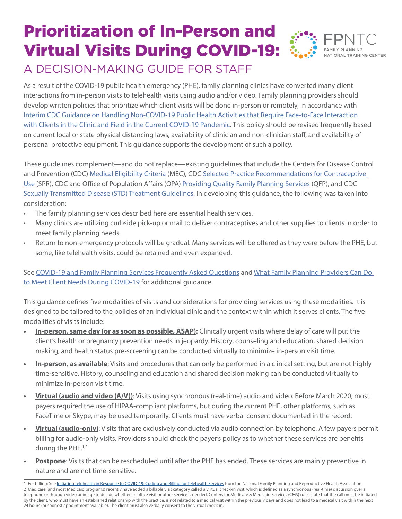## Prioritization of In-Person and Virtual Visits During COVID-19: A DECISION-MAKING GUIDE FOR STAFF



As a result of the COVID-19 public health emergency (PHE), family planning clinics have converted many client interactions from in-person visits to telehealth visits using audio and/or video. Family planning providers should develop written policies that prioritize which client visits will be done in-person or remotely, in accordance with [Interim CDC Guidance on Handling Non-COVID-19 Public Health Activities that Require Face-to-Face Interaction](https://www.cdc.gov/coronavirus/2019-ncov/hcp/non-covid-19-client-interaction.html)  [with Clients in the Clinic and Field in the Current COVID-19 Pandemic](https://www.cdc.gov/coronavirus/2019-ncov/hcp/non-covid-19-client-interaction.html). This policy should be revised frequently based on current local or state physical distancing laws, availability of clinician and non-clinician staff, and availability of personal protective equipment. This guidance supports the development of such a policy.

These guidelines complement—and do not replace—existing guidelines that include the Centers for Disease Control and Prevention (CDC) [Medical Eligibility Criteria](https://www.cdc.gov/mmwr/volumes/65/rr/rr6503a1.htm?s_cid=rr6503a1_w) (MEC), CDC [Selected Practice Recommendations for Contraceptive](https://www.cdc.gov/reproductivehealth/contraception/mmwr/spr/summary.html)  [Use](https://www.cdc.gov/reproductivehealth/contraception/mmwr/spr/summary.html) (SPR), CDC and Office of Population Affairs (OPA) [Providing Quality Family Planning Services](https://www.cdc.gov/reproductivehealth/contraception/qfp.htm) (QFP), and CDC [Sexually Transmitted Disease \(STD\) Treatment Guidelines.](https://www.cdc.gov/std/tg2015/default.htm) In developing this guidance, the following was taken into consideration:

- The family planning services described here are essential health services.
- Many clinics are utilizing curbside pick-up or mail to deliver contraceptives and other supplies to clients in order to meet family planning needs.
- Return to non-emergency protocols will be gradual. Many services will be offered as they were before the PHE, but some, like telehealth visits, could be retained and even expanded.

See [COVID-19 and Family Planning Services Frequently Asked Questions](https://www.fpntc.org/resources/covid-19-and-family-planning-services-faq) and [What Family Planning Providers Can Do](https://www.fpntc.org/resources/what-family-planning-providers-can-do-meet-client-needs-during-covid-19)  [to Meet Client Needs During COVID-19](https://www.fpntc.org/resources/what-family-planning-providers-can-do-meet-client-needs-during-covid-19) for additional guidance.

This guidance defines five modalities of visits and considerations for providing services using these modalities. It is designed to be tailored to the policies of an individual clinic and the context within which it serves clients. The five modalities of visits include:

- **• In-person, same day (or as soon as possible, ASAP):** Clinically urgent visits where delay of care will put the client's health or pregnancy prevention needs in jeopardy. History, counseling and education, shared decision making, and health status pre-screening can be conducted virtually to minimize in-person visit time.
- **• In-person, as available**: Visits and procedures that can only be performed in a clinical setting, but are not highly time-sensitive. History, counseling and education and shared decision making can be conducted virtually to minimize in-person visit time.
- **• Virtual (audio and video (A/V))**: Visits using synchronous (real-time) audio and video. Before March 2020, most payers required the use of HIPAA-compliant platforms, but during the current PHE, other platforms, such as FaceTime or Skype, may be used temporarily. Clients must have verbal consent documented in the record.
- **Virtual (audio-only)**: Visits that are exclusively conducted via audio connection by telephone. A few payers permit billing for audio-only visits. Providers should check the payer's policy as to whether these services are benefits during the PHE.<sup>1,2</sup>
- **• Postpone**: Visits that can be rescheduled until after the PHE has ended. These services are mainly preventive in nature and are not time-sensitive.

<sup>1</sup> For billing: See [Initiating Telehealth in Response to COVID-19: Coding and Billing for Telehealth Services](https://www.nationalfamilyplanning.org/file/COVID---Telehealth-Coding---FINAL.pdf?erid=2275479&trid=ee7f09c4-fb54-41c7-8004-6adef38110c4) from the National Family Planning and Reproductive Health Association. 2 Medicare (and most Medicaid programs) recently have added a billable visit category called a virtual check-in visit, which is defined as a synchronous (real-time) discussion over a telephone or through video or image to decide whether an office visit or other service is needed. Centers for Medicare & Medicaid Services (CMS) rules state that the call must be initiated by the client, who must have an established relationship with the practice, is not related to a medical visit within the previous 7 days and does not lead to a medical visit within the next 24 hours (or soonest appointment available). The client must also verbally consent to the virtual check-in.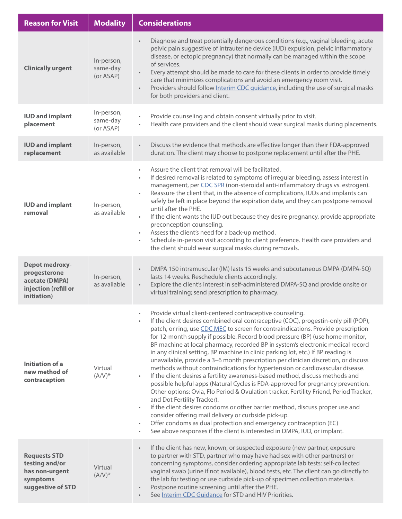| <b>Reason for Visit</b>                                                                        | <b>Modality</b>                     | <b>Considerations</b>                                                                                                                                                                                                                                                                                                                                                                                                                                                                                                                                                                                                                                                                                                                                                                                                                                                                                                                                                                                                                                                                                                                                                                                                                                                       |
|------------------------------------------------------------------------------------------------|-------------------------------------|-----------------------------------------------------------------------------------------------------------------------------------------------------------------------------------------------------------------------------------------------------------------------------------------------------------------------------------------------------------------------------------------------------------------------------------------------------------------------------------------------------------------------------------------------------------------------------------------------------------------------------------------------------------------------------------------------------------------------------------------------------------------------------------------------------------------------------------------------------------------------------------------------------------------------------------------------------------------------------------------------------------------------------------------------------------------------------------------------------------------------------------------------------------------------------------------------------------------------------------------------------------------------------|
| <b>Clinically urgent</b>                                                                       | In-person,<br>same-day<br>(or ASAP) | Diagnose and treat potentially dangerous conditions (e.g., vaginal bleeding, acute<br>pelvic pain suggestive of intrauterine device (IUD) expulsion, pelvic inflammatory<br>disease, or ectopic pregnancy) that normally can be managed within the scope<br>of services.<br>Every attempt should be made to care for these clients in order to provide timely<br>$\bullet$<br>care that minimizes complications and avoid an emergency room visit.<br>Providers should follow Interim CDC guidance, including the use of surgical masks<br>$\bullet$<br>for both providers and client.                                                                                                                                                                                                                                                                                                                                                                                                                                                                                                                                                                                                                                                                                      |
| <b>IUD and implant</b><br>placement                                                            | In-person,<br>same-day<br>(or ASAP) | Provide counseling and obtain consent virtually prior to visit.<br>Health care providers and the client should wear surgical masks during placements.<br>$\bullet$                                                                                                                                                                                                                                                                                                                                                                                                                                                                                                                                                                                                                                                                                                                                                                                                                                                                                                                                                                                                                                                                                                          |
| <b>IUD and implant</b><br>replacement                                                          | In-person,<br>as available          | Discuss the evidence that methods are effective longer than their FDA-approved<br>duration. The client may choose to postpone replacement until after the PHE.                                                                                                                                                                                                                                                                                                                                                                                                                                                                                                                                                                                                                                                                                                                                                                                                                                                                                                                                                                                                                                                                                                              |
| <b>IUD and implant</b><br>removal                                                              | In-person,<br>as available          | Assure the client that removal will be facilitated.<br>$\bullet$<br>If desired removal is related to symptoms of irregular bleeding, assess interest in<br>$\bullet$<br>management, per CDC SPR (non-steroidal anti-inflammatory drugs vs. estrogen).<br>Reassure the client that, in the absence of complications, IUDs and implants can<br>$\bullet$<br>safely be left in place beyond the expiration date, and they can postpone removal<br>until after the PHE.<br>If the client wants the IUD out because they desire pregnancy, provide appropriate<br>$\bullet$<br>preconception counseling.<br>Assess the client's need for a back-up method.<br>$\bullet$<br>Schedule in-person visit according to client preference. Health care providers and<br>$\bullet$<br>the client should wear surgical masks during removals.                                                                                                                                                                                                                                                                                                                                                                                                                                             |
| <b>Depot medroxy-</b><br>progesterone<br>acetate (DMPA)<br>injection (refill or<br>initiation) | In-person,<br>as available          | DMPA 150 intramuscular (IM) lasts 15 weeks and subcutaneous DMPA (DMPA-SQ)<br>$\bullet$<br>lasts 14 weeks. Reschedule clients accordingly.<br>Explore the client's interest in self-administered DMPA-SQ and provide onsite or<br>$\bullet$<br>virtual training; send prescription to pharmacy.                                                                                                                                                                                                                                                                                                                                                                                                                                                                                                                                                                                                                                                                                                                                                                                                                                                                                                                                                                             |
| <b>Initiation of a</b><br>new method of<br>contraception                                       | Virtual<br>$(A/V)^*$                | Provide virtual client-centered contraceptive counseling.<br>If the client desires combined oral contraceptive (COC), progestin-only pill (POP),<br>patch, or ring, use CDC MEC to screen for contraindications. Provide prescription<br>for 12-month supply if possible. Record blood pressure (BP) (use home monitor,<br>BP machine at local pharmacy, recorded BP in system's electronic medical record<br>in any clinical setting, BP machine in clinic parking lot, etc.) If BP reading is<br>unavailable, provide a 3-6 month prescription per clinician discretion, or discuss<br>methods without contraindications for hypertension or cardiovascular disease.<br>If the client desires a fertility awareness-based method, discuss methods and<br>$\bullet$<br>possible helpful apps (Natural Cycles is FDA-approved for pregnancy prevention.<br>Other options: Ovia, Flo Period & Ovulation tracker, Fertility Friend, Period Tracker,<br>and Dot Fertility Tracker).<br>If the client desires condoms or other barrier method, discuss proper use and<br>consider offering mail delivery or curbside pick-up.<br>Offer condoms as dual protection and emergency contraception (EC)<br>See above responses if the client is interested in DMPA, IUD, or implant. |
| <b>Requests STD</b><br>testing and/or<br>has non-urgent<br>symptoms<br>suggestive of STD       | Virtual<br>$(A/V)^*$                | If the client has new, known, or suspected exposure (new partner, exposure<br>$\bullet$<br>to partner with STD, partner who may have had sex with other partners) or<br>concerning symptoms, consider ordering appropriate lab tests: self-collected<br>vaginal swab (urine if not available), blood tests, etc. The client can go directly to<br>the lab for testing or use curbside pick-up of specimen collection materials.<br>Postpone routine screening until after the PHE.<br>See Interim CDC Guidance for STD and HIV Priorities.                                                                                                                                                                                                                                                                                                                                                                                                                                                                                                                                                                                                                                                                                                                                  |